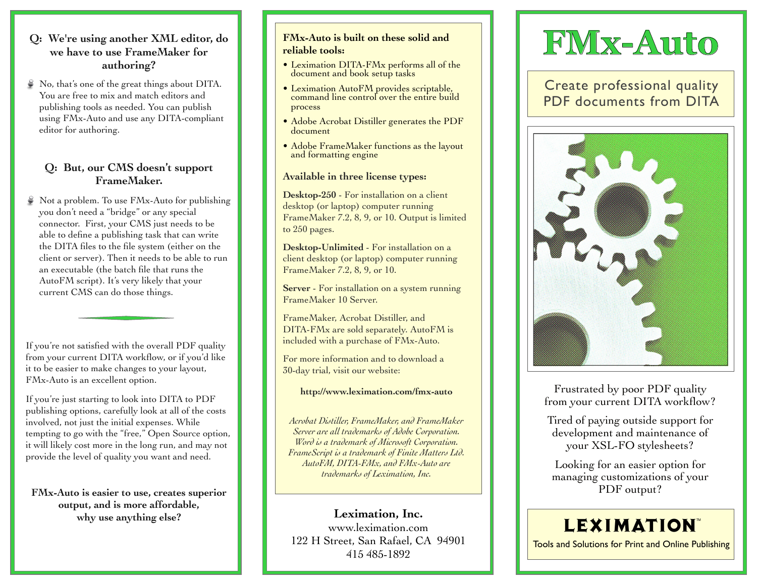### **Q: We're using another XML editor, do we have to use FrameMaker for authoring?**

 $\Diamond$  No, that's one of the great things about DITA. You are free to mix and match editors and publishing tools as needed. You can publish using FMx-Auto and use any DITA-compliant editor for authoring.

### **Q: But, our CMS doesn't support FrameMaker.**

Not a problem. To use FMx-Auto for publishing you don't need a "bridge" or any special connector. First, your CMS just needs to be able to define a publishing task that can write the DITA files to the file system (either on the client or server). Then it needs to be able to run an executable (the batch file that runs the AutoFM script). It's very likely that your current CMS can do those things.

If you're not satisfied with the overall PDF quality from your current DITA workflow, or if you'd like it to be easier to make changes to your layout, FMx-Auto is an excellent option.

If you're just starting to look into DITA to PDF publishing options, carefully look at all of the costs involved, not just the initial expenses. While tempting to go with the "free," Open Source option, it will likely cost more in the long run, and may not provide the level of quality you want and need.

**FMx-Auto is easier to use, creates superior output, and is more affordable, why use anything else?**

### **FMx-Auto is built on these solid and reliable tools:**

- Leximation DITA-FMx performs all of the document and book setup tasks
- Leximation AutoFM provides scriptable, command line control over the entire build process
- Adobe Acrobat Distiller generates the PDF document
- Adobe FrameMaker functions as the layout and formatting engine

### **Available in three license types:**

**Desktop-250** - For installation on a client desktop (or laptop) computer running FrameMaker 7.2, 8, 9, or 10. Output is limited to 250 pages.

**Desktop-Unlimited** - For installation on a client desktop (or laptop) computer running FrameMaker 7.2, 8, 9, or 10.

**Server** - For installation on a system running FrameMaker 10 Server.

FrameMaker, Acrobat Distiller, and DITA-FMx are sold separately. AutoFM is included with a purchase of FMx-Auto.

For more information and to download a 30-day trial, visit our website:

#### **http://www.leximation.com/fmx-auto**

*Acrobat Distiller, FrameMaker, and FrameMaker Server are all trademarks of Adobe Corporation. Word is a trademark of Microsoft Corporation. FrameScript is a trademark of Finite Matters Ltd. AutoFM, DITA-FMx, and FMx-Auto are trademarks of Leximation, Inc.*

**Leximation, Inc.** www.leximation.com 122 H Street, San Rafael, CA 94901 415 485-1892

## **FMx-Auto**

Create professional quality PDF documents from DITA



Frustrated by poor PDF quality from your current DITA workflow?

Tired of paying outside support for development and maintenance of your XSL-FO stylesheets?

Looking for an easier option for managing customizations of your PDF output?

### **LEXIMATION**

Tools and Solutions for Print and Online Publishing